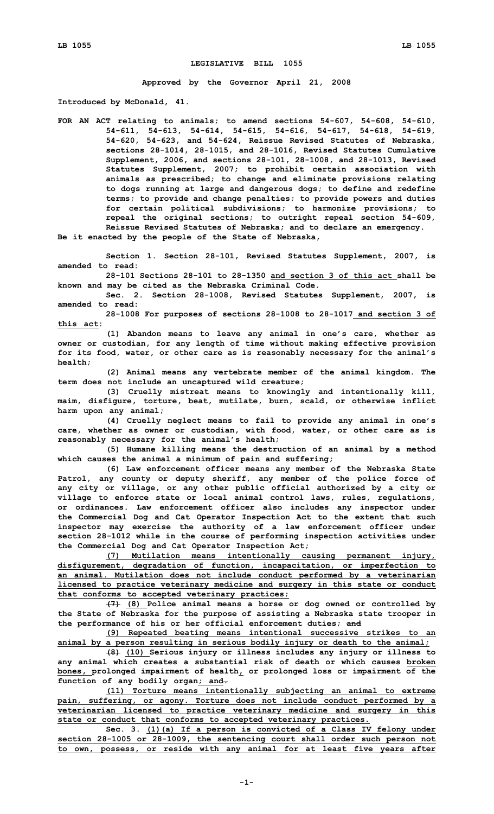## **LEGISLATIVE BILL 1055**

**Approved by the Governor April 21, 2008**

**Introduced by McDonald, 41.**

**FOR AN ACT relating to animals; to amend sections 54-607, 54-608, 54-610, 54-611, 54-613, 54-614, 54-615, 54-616, 54-617, 54-618, 54-619, 54-620, 54-623, and 54-624, Reissue Revised Statutes of Nebraska, sections 28-1014, 28-1015, and 28-1016, Revised Statutes Cumulative Supplement, 2006, and sections 28-101, 28-1008, and 28-1013, Revised Statutes Supplement, 2007; to prohibit certain association with animals as prescribed; to change and eliminate provisions relating to dogs running at large and dangerous dogs; to define and redefine terms; to provide and change penalties; to provide powers and duties for certain political subdivisions; to harmonize provisions; to repeal the original sections; to outright repeal section 54-609, Reissue Revised Statutes of Nebraska; and to declare an emergency.**

**Be it enacted by the people of the State of Nebraska,**

**Section 1. Section 28-101, Revised Statutes Supplement, 2007, is amended to read:**

**28-101 Sections 28-101 to 28-1350 and section 3 of this act shall be known and may be cited as the Nebraska Criminal Code.**

**Sec. 2. Section 28-1008, Revised Statutes Supplement, 2007, is amended to read:**

**28-1008 For purposes of sections 28-1008 to 28-1017 and section 3 of this act:**

**(1) Abandon means to leave any animal in one's care, whether as owner or custodian, for any length of time without making effective provision for its food, water, or other care as is reasonably necessary for the animal's health;**

**(2) Animal means any vertebrate member of the animal kingdom. The term does not include an uncaptured wild creature;**

**(3) Cruelly mistreat means to knowingly and intentionally kill, maim, disfigure, torture, beat, mutilate, burn, scald, or otherwise inflict harm upon any animal;**

**(4) Cruelly neglect means to fail to provide any animal in one's care, whether as owner or custodian, with food, water, or other care as is reasonably necessary for the animal's health;**

**(5) Humane killing means the destruction of an animal by <sup>a</sup> method which causes the animal <sup>a</sup> minimum of pain and suffering;**

**(6) Law enforcement officer means any member of the Nebraska State Patrol, any county or deputy sheriff, any member of the police force of any city or village, or any other public official authorized by <sup>a</sup> city or village to enforce state or local animal control laws, rules, regulations, or ordinances. Law enforcement officer also includes any inspector under the Commercial Dog and Cat Operator Inspection Act to the extent that such inspector may exercise the authority of <sup>a</sup> law enforcement officer under section 28-1012 while in the course of performing inspection activities under the Commercial Dog and Cat Operator Inspection Act;**

**(7) Mutilation means intentionally causing permanent injury, disfigurement, degradation of function, incapacitation, or imperfection to an animal. Mutilation does not include conduct performed by <sup>a</sup> veterinarian licensed to practice veterinary medicine and surgery in this state or conduct that conforms to accepted veterinary practices;**

**(7) (8) Police animal means <sup>a</sup> horse or dog owned or controlled by the State of Nebraska for the purpose of assisting <sup>a</sup> Nebraska state trooper in the performance of his or her official enforcement duties; and**

**(9) Repeated beating means intentional successive strikes to an animal by <sup>a</sup> person resulting in serious bodily injury or death to the animal;**

**(8) (10) Serious injury or illness includes any injury or illness to any animal which creates <sup>a</sup> substantial risk of death or which causes broken bones, prolonged impairment of health, or prolonged loss or impairment of the function of any bodily organ; and.**

**(11) Torture means intentionally subjecting an animal to extreme pain, suffering, or agony. Torture does not include conduct performed by <sup>a</sup> veterinarian licensed to practice veterinary medicine and surgery in this state or conduct that conforms to accepted veterinary practices.**

**Sec. 3. (1)(a) If <sup>a</sup> person is convicted of <sup>a</sup> Class IV felony under section 28-1005 or 28-1009, the sentencing court shall order such person not to own, possess, or reside with any animal for at least five years after**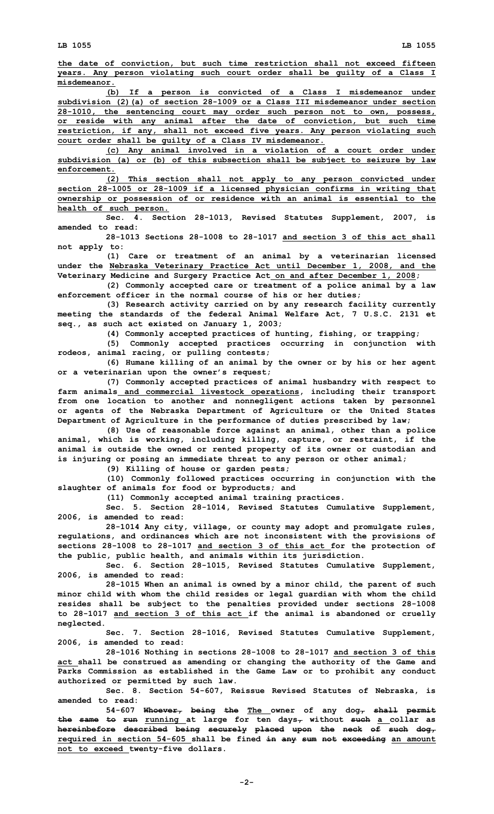**LB 1055 LB 1055**

**the date of conviction, but such time restriction shall not exceed fifteen years. Any person violating such court order shall be guilty of <sup>a</sup> Class I misdemeanor.**

**(b) If <sup>a</sup> person is convicted of <sup>a</sup> Class <sup>I</sup> misdemeanor under subdivision (2)(a) of section 28-1009 or <sup>a</sup> Class III misdemeanor under section 28-1010, the sentencing court may order such person not to own, possess, or reside with any animal after the date of conviction, but such time restriction, if any, shall not exceed five years. Any person violating such court order shall be guilty of <sup>a</sup> Class IV misdemeanor.**

**(c) Any animal involved in <sup>a</sup> violation of <sup>a</sup> court order under subdivision (a) or (b) of this subsection shall be subject to seizure by law enforcement.**

**(2) This section shall not apply to any person convicted under section 28-1005 or 28-1009 if <sup>a</sup> licensed physician confirms in writing that ownership or possession of or residence with an animal is essential to the health of such person.**

**Sec. 4. Section 28-1013, Revised Statutes Supplement, 2007, is amended to read:**

**28-1013 Sections 28-1008 to 28-1017 and section 3 of this act shall not apply to:**

**(1) Care or treatment of an animal by <sup>a</sup> veterinarian licensed under the Nebraska Veterinary Practice Act until December 1, 2008, and the Veterinary Medicine and Surgery Practice Act on and after December 1, 2008;**

**(2) Commonly accepted care or treatment of <sup>a</sup> police animal by <sup>a</sup> law enforcement officer in the normal course of his or her duties;**

**(3) Research activity carried on by any research facility currently meeting the standards of the federal Animal Welfare Act, 7 U.S.C. 2131 et seq., as such act existed on January 1, 2003;**

**(4) Commonly accepted practices of hunting, fishing, or trapping;**

**(5) Commonly accepted practices occurring in conjunction with rodeos, animal racing, or pulling contests;**

**(6) Humane killing of an animal by the owner or by his or her agent or <sup>a</sup> veterinarian upon the owner's request;**

**(7) Commonly accepted practices of animal husbandry with respect to farm animals and commercial livestock operations, including their transport from one location to another and nonnegligent actions taken by personnel or agents of the Nebraska Department of Agriculture or the United States Department of Agriculture in the performance of duties prescribed by law;**

**(8) Use of reasonable force against an animal, other than <sup>a</sup> police animal, which is working, including killing, capture, or restraint, if the animal is outside the owned or rented property of its owner or custodian and is injuring or posing an immediate threat to any person or other animal;**

**(9) Killing of house or garden pests;**

**(10) Commonly followed practices occurring in conjunction with the slaughter of animals for food or byproducts; and**

**(11) Commonly accepted animal training practices.**

**Sec. 5. Section 28-1014, Revised Statutes Cumulative Supplement, 2006, is amended to read:**

**28-1014 Any city, village, or county may adopt and promulgate rules, regulations, and ordinances which are not inconsistent with the provisions of sections 28-1008 to 28-1017 and section 3 of this act for the protection of the public, public health, and animals within its jurisdiction.**

**Sec. 6. Section 28-1015, Revised Statutes Cumulative Supplement, 2006, is amended to read:**

**28-1015 When an animal is owned by <sup>a</sup> minor child, the parent of such minor child with whom the child resides or legal guardian with whom the child resides shall be subject to the penalties provided under sections 28-1008 to 28-1017 and section 3 of this act if the animal is abandoned or cruelly neglected.**

**Sec. 7. Section 28-1016, Revised Statutes Cumulative Supplement, 2006, is amended to read:**

**28-1016 Nothing in sections 28-1008 to 28-1017 and section 3 of this act shall be construed as amending or changing the authority of the Game and Parks Commission as established in the Game Law or to prohibit any conduct authorized or permitted by such law.**

**Sec. 8. Section 54-607, Reissue Revised Statutes of Nebraska, is amended to read:**

**54-607 Whoever, being the The owner of any dog, shall permit the same to run running at large for ten days, without such <sup>a</sup> collar as hereinbefore described being securely placed upon the neck of such dog, required in section 54-605 shall be fined in any sum not exceeding an amount not to exceed twenty-five dollars.**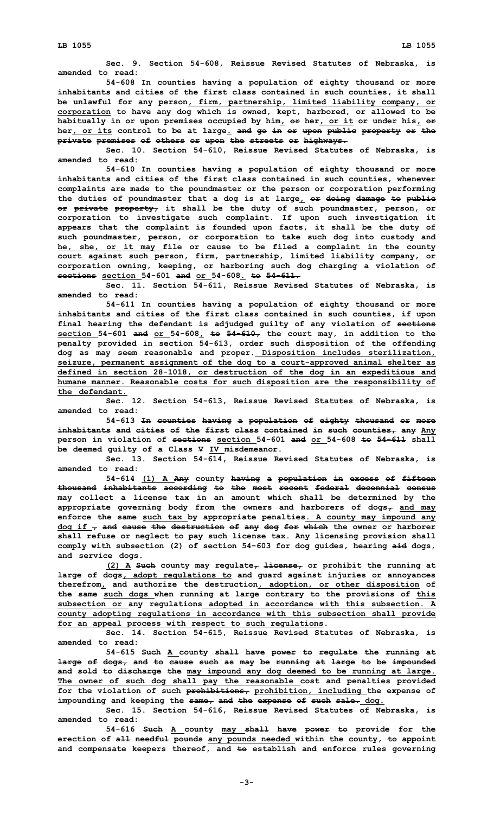**Sec. 9. Section 54-608, Reissue Revised Statutes of Nebraska, is amended to read:**

**54-608 In counties having <sup>a</sup> population of eighty thousand or more inhabitants and cities of the first class contained in such counties, it shall be unlawful for any person, firm, partnership, limited liability company, or corporation to have any dog which is owned, kept, harbored, or allowed to be habitually in or upon premises occupied by him, or her, or it or under his, or her, or its control to be at large. and go in or upon public property or the private premises of others or upon the streets or highways.**

**Sec. 10. Section 54-610, Reissue Revised Statutes of Nebraska, is amended to read:**

**54-610 In counties having <sup>a</sup> population of eighty thousand or more inhabitants and cities of the first class contained in such counties, whenever complaints are made to the poundmaster or the person or corporation performing the duties of poundmaster that <sup>a</sup> dog is at large, or doing damage to public or private property, it shall be the duty of such poundmaster, person, or corporation to investigate such complaint. If upon such investigation it appears that the complaint is founded upon facts, it shall be the duty of such poundmaster, person, or corporation to take such dog into custody and he, she, or it may file or cause to be filed <sup>a</sup> complaint in the county court against such person, firm, partnership, limited liability company, or corporation owning, keeping, or harboring such dog charging <sup>a</sup> violation of sections section 54-601 and or 54-608. to 54-611.**

**Sec. 11. Section 54-611, Reissue Revised Statutes of Nebraska, is amended to read:**

**54-611 In counties having <sup>a</sup> population of eighty thousand or more inhabitants and cities of the first class contained in such counties, if upon final hearing the defendant is adjudged guilty of any violation of sections section 54-601 and or 54-608, to 54-610, the court may, in addition to the penalty provided in section 54-613, order such disposition of the offending dog as may seem reasonable and proper. Disposition includes sterilization, seizure, permanent assignment of the dog to <sup>a</sup> court-approved animal shelter as defined in section 28-1018, or destruction of the dog in an expeditious and humane manner. Reasonable costs for such disposition are the responsibility of the defendant.**

**Sec. 12. Section 54-613, Reissue Revised Statutes of Nebraska, is amended to read:**

**54-613 In counties having <sup>a</sup> population of eighty thousand or more inhabitants and cities of the first class contained in such counties, any Any person in violation of sections section 54-601 and or 54-608 to 54-611 shall be deemed guilty of <sup>a</sup> Class V IV misdemeanor.**

**Sec. 13. Section 54-614, Reissue Revised Statutes of Nebraska, is amended to read:**

**54-614 (1) <sup>A</sup> Any county having <sup>a</sup> population in excess of fifteen thousand inhabitants according to the most recent federal decennial census may collect <sup>a</sup> license tax in an amount which shall be determined by the appropriate governing body from the owners and harborers of dogs, and may enforce the same such tax by appropriate penalties. A county may impound any dog if , and cause the destruction of any dog for which the owner or harborer shall refuse or neglect to pay such license tax. Any licensing provision shall comply with subsection (2) of section 54-603 for dog guides, hearing aid dogs, and service dogs.**

**(2) <sup>A</sup> Such county may regulate, license, or prohibit the running at large of dogs, adopt regulations to and guard against injuries or annoyances therefrom, and authorize the destruction, adoption, or other disposition of the same such dogs when running at large contrary to the provisions of this subsection or any regulations adopted in accordance with this subsection. A county adopting regulations in accordance with this subsection shall provide for an appeal process with respect to such regulations.**

**Sec. 14. Section 54-615, Reissue Revised Statutes of Nebraska, is amended to read:**

**54-615 Such <sup>A</sup> county shall have power to regulate the running at large of dogs, and to cause such as may be running at large to be impounded and sold to discharge the may impound any dog deemed to be running at large. The owner of such dog shall pay the reasonable cost and penalties provided for the violation of such prohibitions, prohibition, including the expense of impounding and keeping the same, and the expense of such sale. dog.**

**Sec. 15. Section 54-616, Reissue Revised Statutes of Nebraska, is amended to read:**

**54-616 Such <sup>A</sup> county may shall have power to provide for the erection of all needful pounds any pounds needed within the county, to appoint and compensate keepers thereof, and to establish and enforce rules governing**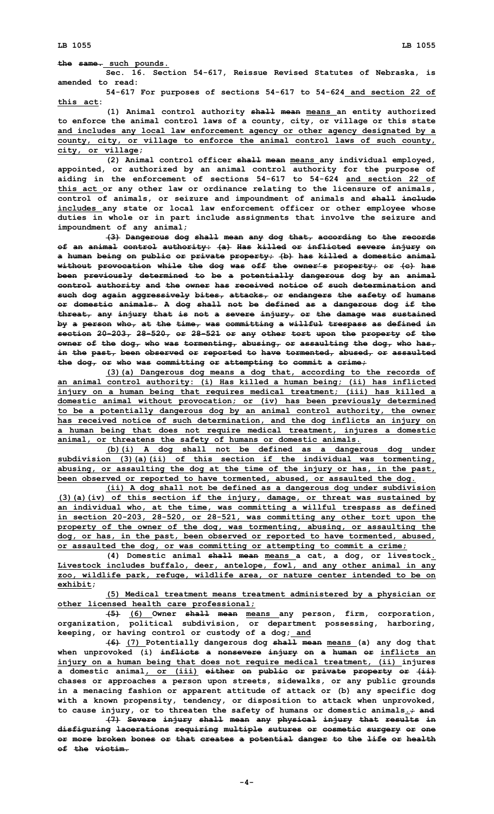**Sec. 16. Section 54-617, Reissue Revised Statutes of Nebraska, is amended to read:**

**54-617 For purposes of sections 54-617 to 54-624 and section 22 of this act:**

**(1) Animal control authority shall mean means an entity authorized to enforce the animal control laws of <sup>a</sup> county, city, or village or this state and includes any local law enforcement agency or other agency designated by <sup>a</sup> county, city, or village to enforce the animal control laws of such county, city, or village;**

**(2) Animal control officer shall mean means any individual employed, appointed, or authorized by an animal control authority for the purpose of aiding in the enforcement of sections 54-617 to 54-624 and section 22 of this act or any other law or ordinance relating to the licensure of animals, control of animals, or seizure and impoundment of animals and shall include includes any state or local law enforcement officer or other employee whose duties in whole or in part include assignments that involve the seizure and impoundment of any animal;**

**(3) Dangerous dog shall mean any dog that, according to the records of an animal control authority: (a) Has killed or inflicted severe injury on <sup>a</sup> human being on public or private property; (b) has killed <sup>a</sup> domestic animal without provocation while the dog was off the owner's property; or (c) has been previously determined to be <sup>a</sup> potentially dangerous dog by an animal control authority and the owner has received notice of such determination and such dog again aggressively bites, attacks, or endangers the safety of humans or domestic animals. A dog shall not be defined as <sup>a</sup> dangerous dog if the threat, any injury that is not <sup>a</sup> severe injury, or the damage was sustained by <sup>a</sup> person who, at the time, was committing <sup>a</sup> willful trespass as defined in section 20-203, 28-520, or 28-521 or any other tort upon the property of the owner of the dog, who was tormenting, abusing, or assaulting the dog, who has, in the past, been observed or reported to have tormented, abused, or assaulted the dog, or who was committing or attempting to commit <sup>a</sup> crime;**

**(3)(a) Dangerous dog means <sup>a</sup> dog that, according to the records of an animal control authority: (i) Has killed <sup>a</sup> human being; (ii) has inflicted injury on <sup>a</sup> human being that requires medical treatment; (iii) has killed <sup>a</sup> domestic animal without provocation; or (iv) has been previously determined to be <sup>a</sup> potentially dangerous dog by an animal control authority, the owner has received notice of such determination, and the dog inflicts an injury on <sup>a</sup> human being that does not require medical treatment, injures <sup>a</sup> domestic animal, or threatens the safety of humans or domestic animals.**

**(b)(i) <sup>A</sup> dog shall not be defined as <sup>a</sup> dangerous dog under subdivision (3)(a)(ii) of this section if the individual was tormenting, abusing, or assaulting the dog at the time of the injury or has, in the past, been observed or reported to have tormented, abused, or assaulted the dog.**

**(ii) <sup>A</sup> dog shall not be defined as <sup>a</sup> dangerous dog under subdivision (3)(a)(iv) of this section if the injury, damage, or threat was sustained by an individual who, at the time, was committing <sup>a</sup> willful trespass as defined in section 20-203, 28-520, or 28-521, was committing any other tort upon the property of the owner of the dog, was tormenting, abusing, or assaulting the dog, or has, in the past, been observed or reported to have tormented, abused, or assaulted the dog, or was committing or attempting to commit <sup>a</sup> crime;**

**(4) Domestic animal shall mean means <sup>a</sup> cat, <sup>a</sup> dog, or livestock. Livestock includes buffalo, deer, antelope, fowl, and any other animal in any zoo, wildlife park, refuge, wildlife area, or nature center intended to be on exhibit;**

**(5) Medical treatment means treatment administered by <sup>a</sup> physician or other licensed health care professional;**

**(5) (6) Owner shall mean means any person, firm, corporation, organization, political subdivision, or department possessing, harboring, keeping, or having control or custody of <sup>a</sup> dog; and**

**(6) (7) Potentially dangerous dog shall mean means (a) any dog that when unprovoked (i) inflicts <sup>a</sup> nonsevere injury on <sup>a</sup> human or inflicts an injury on <sup>a</sup> human being that does not require medical treatment, (ii) injures <sup>a</sup> domestic animal, or (iii) either on public or private property or (ii) chases or approaches <sup>a</sup> person upon streets, sidewalks, or any public grounds in <sup>a</sup> menacing fashion or apparent attitude of attack or (b) any specific dog with <sup>a</sup> known propensity, tendency, or disposition to attack when unprovoked, to cause injury, or to threaten the safety of humans or domestic animals.; and**

**(7) Severe injury shall mean any physical injury that results in disfiguring lacerations requiring multiple sutures or cosmetic surgery or one or more broken bones or that creates <sup>a</sup> potential danger to the life or health of the victim.**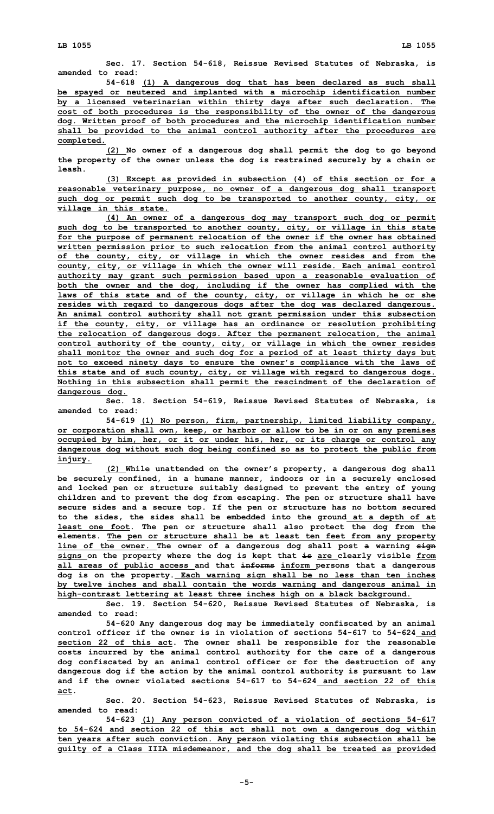**Sec. 17. Section 54-618, Reissue Revised Statutes of Nebraska, is amended to read:**

**54-618 (1) <sup>A</sup> dangerous dog that has been declared as such shall be spayed or neutered and implanted with <sup>a</sup> microchip identification number by <sup>a</sup> licensed veterinarian within thirty days after such declaration. The cost of both procedures is the responsibility of the owner of the dangerous dog. Written proof of both procedures and the microchip identification number shall be provided to the animal control authority after the procedures are completed.**

**(2) No owner of <sup>a</sup> dangerous dog shall permit the dog to go beyond the property of the owner unless the dog is restrained securely by <sup>a</sup> chain or leash.**

**(3) Except as provided in subsection (4) of this section or for <sup>a</sup> reasonable veterinary purpose, no owner of <sup>a</sup> dangerous dog shall transport such dog or permit such dog to be transported to another county, city, or village in this state.**

**(4) An owner of <sup>a</sup> dangerous dog may transport such dog or permit such dog to be transported to another county, city, or village in this state for the purpose of permanent relocation of the owner if the owner has obtained written permission prior to such relocation from the animal control authority of the county, city, or village in which the owner resides and from the county, city, or village in which the owner will reside. Each animal control authority may grant such permission based upon <sup>a</sup> reasonable evaluation of both the owner and the dog, including if the owner has complied with the laws of this state and of the county, city, or village in which he or she resides with regard to dangerous dogs after the dog was declared dangerous. An animal control authority shall not grant permission under this subsection if the county, city, or village has an ordinance or resolution prohibiting the relocation of dangerous dogs. After the permanent relocation, the animal control authority of the county, city, or village in which the owner resides shall monitor the owner and such dog for <sup>a</sup> period of at least thirty days but not to exceed ninety days to ensure the owner's compliance with the laws of this state and of such county, city, or village with regard to dangerous dogs. Nothing in this subsection shall permit the rescindment of the declaration of dangerous dog.**

**Sec. 18. Section 54-619, Reissue Revised Statutes of Nebraska, is amended to read:**

**54-619 (1) No person, firm, partnership, limited liability company, or corporation shall own, keep, or harbor or allow to be in or on any premises occupied by him, her, or it or under his, her, or its charge or control any dangerous dog without such dog being confined so as to protect the public from injury.**

**(2) While unattended on the owner's property, <sup>a</sup> dangerous dog shall be securely confined, in <sup>a</sup> humane manner, indoors or in <sup>a</sup> securely enclosed and locked pen or structure suitably designed to prevent the entry of young children and to prevent the dog from escaping. The pen or structure shall have secure sides and <sup>a</sup> secure top. If the pen or structure has no bottom secured to the sides, the sides shall be embedded into the ground at <sup>a</sup> depth of at least one foot. The pen or structure shall also protect the dog from the elements. The pen or structure shall be at least ten feet from any property line of the owner. The owner of <sup>a</sup> dangerous dog shall post <sup>a</sup> warning sign signs on the property where the dog is kept that is are clearly visible from all areas of public access and that informs inform persons that <sup>a</sup> dangerous dog is on the property. Each warning sign shall be no less than ten inches by twelve inches and shall contain the words warning and dangerous animal in high-contrast lettering at least three inches high on <sup>a</sup> black background.**

**Sec. 19. Section 54-620, Reissue Revised Statutes of Nebraska, is amended to read:**

**54-620 Any dangerous dog may be immediately confiscated by an animal control officer if the owner is in violation of sections 54-617 to 54-624 and section 22 of this act. The owner shall be responsible for the reasonable costs incurred by the animal control authority for the care of <sup>a</sup> dangerous dog confiscated by an animal control officer or for the destruction of any dangerous dog if the action by the animal control authority is pursuant to law and if the owner violated sections 54-617 to 54-624 and section 22 of this act.**

**Sec. 20. Section 54-623, Reissue Revised Statutes of Nebraska, is amended to read:**

**54-623 (1) Any person convicted of <sup>a</sup> violation of sections 54-617 to 54-624 and section 22 of this act shall not own <sup>a</sup> dangerous dog within ten years after such conviction. Any person violating this subsection shall be guilty of <sup>a</sup> Class IIIA misdemeanor, and the dog shall be treated as provided**